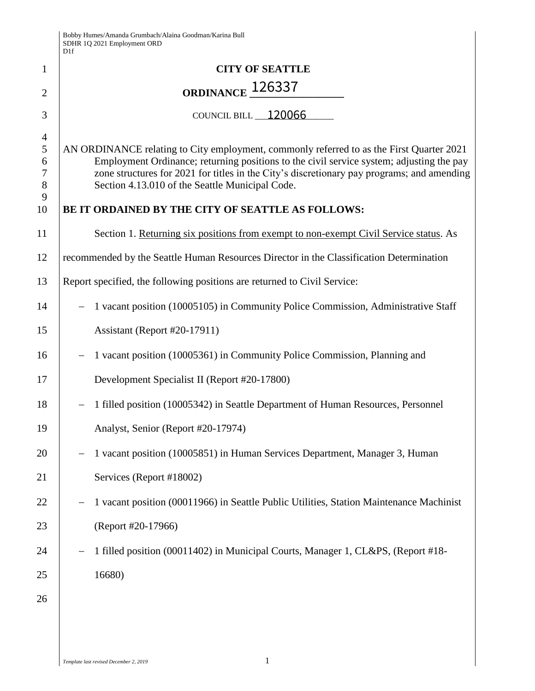|                                                    | D1f                                                                                                                                                                                                                                                                                                                                                                                        |  |  |
|----------------------------------------------------|--------------------------------------------------------------------------------------------------------------------------------------------------------------------------------------------------------------------------------------------------------------------------------------------------------------------------------------------------------------------------------------------|--|--|
| $\mathbf{1}$                                       | <b>CITY OF SEATTLE</b>                                                                                                                                                                                                                                                                                                                                                                     |  |  |
| $\overline{2}$                                     | ORDINANCE <sub>126337</sub>                                                                                                                                                                                                                                                                                                                                                                |  |  |
| 3                                                  | COUNCIL BILL 120066                                                                                                                                                                                                                                                                                                                                                                        |  |  |
| $\overline{4}$<br>5<br>6<br>$\tau$<br>8<br>9<br>10 | AN ORDINANCE relating to City employment, commonly referred to as the First Quarter 2021<br>Employment Ordinance; returning positions to the civil service system; adjusting the pay<br>zone structures for 2021 for titles in the City's discretionary pay programs; and amending<br>Section 4.13.010 of the Seattle Municipal Code.<br>BE IT ORDAINED BY THE CITY OF SEATTLE AS FOLLOWS: |  |  |
| 11                                                 | Section 1. Returning six positions from exempt to non-exempt Civil Service status. As                                                                                                                                                                                                                                                                                                      |  |  |
| 12                                                 | recommended by the Seattle Human Resources Director in the Classification Determination                                                                                                                                                                                                                                                                                                    |  |  |
| 13                                                 | Report specified, the following positions are returned to Civil Service:                                                                                                                                                                                                                                                                                                                   |  |  |
| 14                                                 | 1 vacant position (10005105) in Community Police Commission, Administrative Staff                                                                                                                                                                                                                                                                                                          |  |  |
| 15                                                 | Assistant (Report #20-17911)                                                                                                                                                                                                                                                                                                                                                               |  |  |
| 16                                                 | 1 vacant position (10005361) in Community Police Commission, Planning and                                                                                                                                                                                                                                                                                                                  |  |  |
| 17                                                 | Development Specialist II (Report #20-17800)                                                                                                                                                                                                                                                                                                                                               |  |  |
| 18                                                 | 1 filled position (10005342) in Seattle Department of Human Resources, Personnel                                                                                                                                                                                                                                                                                                           |  |  |
| 19                                                 | Analyst, Senior (Report #20-17974)                                                                                                                                                                                                                                                                                                                                                         |  |  |
| 20                                                 | 1 vacant position (10005851) in Human Services Department, Manager 3, Human                                                                                                                                                                                                                                                                                                                |  |  |
| 21                                                 | Services (Report #18002)                                                                                                                                                                                                                                                                                                                                                                   |  |  |
| 22                                                 | 1 vacant position (00011966) in Seattle Public Utilities, Station Maintenance Machinist                                                                                                                                                                                                                                                                                                    |  |  |
| 23                                                 | (Report #20-17966)                                                                                                                                                                                                                                                                                                                                                                         |  |  |
| 24                                                 | 1 filled position (00011402) in Municipal Courts, Manager 1, CL&PS, (Report #18-                                                                                                                                                                                                                                                                                                           |  |  |
| 25                                                 | 16680)                                                                                                                                                                                                                                                                                                                                                                                     |  |  |
| 26                                                 |                                                                                                                                                                                                                                                                                                                                                                                            |  |  |
|                                                    |                                                                                                                                                                                                                                                                                                                                                                                            |  |  |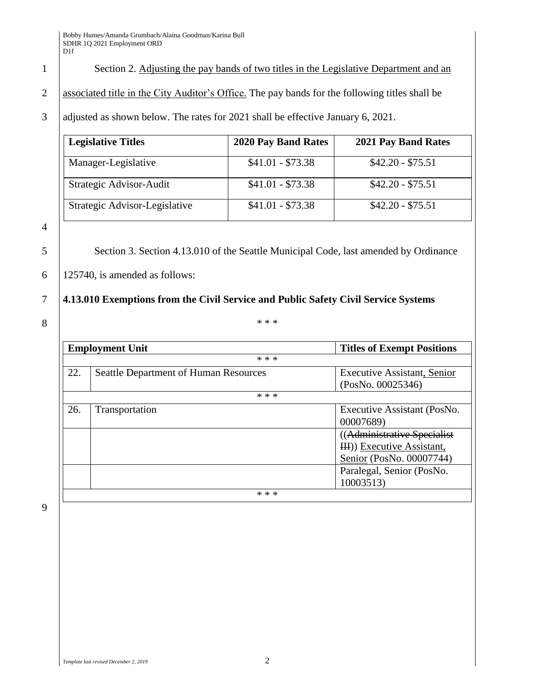1 Section 2. Adjusting the pay bands of two titles in the Legislative Department and an

2 associated title in the City Auditor's Office. The pay bands for the following titles shall be

3 adjusted as shown below. The rates for 2021 shall be effective January 6, 2021.

| <b>Legislative Titles</b>     | 2020 Pay Band Rates | 2021 Pay Band Rates |
|-------------------------------|---------------------|---------------------|
| Manager-Legislative           | $$41.01 - $73.38$   | $$42.20 - $75.51$   |
| Strategic Advisor-Audit       | $$41.01 - $73.38$   | $$42.20 - $75.51$   |
| Strategic Advisor-Legislative | $$41.01 - $73.38$   | $$42.20 - $75.51$   |

4

5 Section 3. Section 4.13.010 of the Seattle Municipal Code, last amended by Ordinance

 $6 \mid 125740$ , is amended as follows:

## 7 **4.13.010 Exemptions from the Civil Service and Public Safety Civil Service Systems**

8  $^*$ 

|     | <b>Employment Unit</b>                       | <b>Titles of Exempt Positions</b>  |
|-----|----------------------------------------------|------------------------------------|
|     | * * *                                        |                                    |
| 22. | <b>Seattle Department of Human Resources</b> | <b>Executive Assistant, Senior</b> |
|     |                                              | (PosNo. 00025346)                  |
|     | * * *                                        |                                    |
| 26. | Transportation                               | Executive Assistant (PosNo.        |
|     |                                              | 00007689)                          |
|     |                                              | (Administrative Specialist         |
|     |                                              | HH)) Executive Assistant,          |
|     |                                              | Senior (PosNo. 00007744)           |
|     |                                              | Paralegal, Senior (PosNo.          |
|     |                                              | 10003513)                          |
|     | * * *                                        |                                    |

9

*Template last revised December 2, 2019* 2